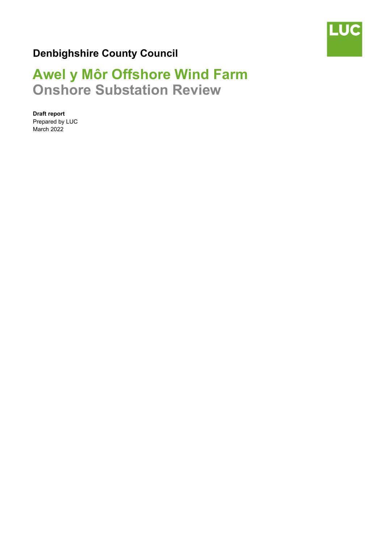

## **Denbighshire County Council**

# **Awel y Môr Offshore Wind Farm Onshore Substation Review**

**Draft report**  Prepared by LUC March 2022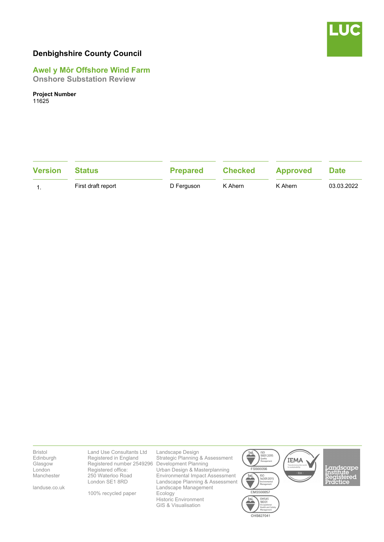

### **Denbighshire County Council**

### **Awel y Môr Offshore Wind Farm**

**Onshore Substation Review** 

**Project Number** 

11625

| <b>Version</b> | <b>Status</b>      | <b>Prepared</b> | <b>Checked</b> | <b>Approved</b> | <b>Date</b> |
|----------------|--------------------|-----------------|----------------|-----------------|-------------|
|                | First draft report | D Ferguson      | K Ahern        | K Ahern         | 03.03.2022  |

Bristol Edinburgh Glasgow London **Manchester** 

landuse.co.uk

Land Use Consultants Ltd Registered in England Registered number 2549296 Development Planning Registered office: 250 Waterloo Road London SE1 8RD

100% recycled paper

Landscape Design Strategic Planning & Assessment Urban Design & Masterplanning Environmental Impact Assessment Landscape Planning & Assessment Landscape Management Ecology Historic Environment GIS & Visualisation



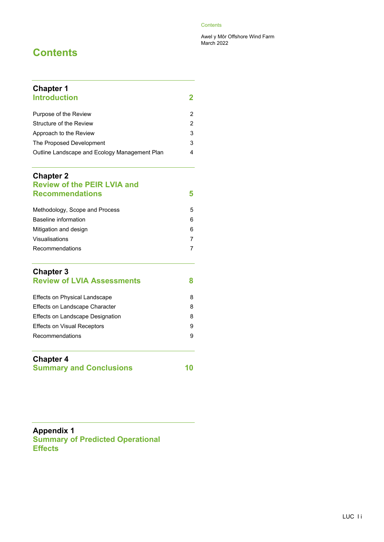#### **Contents**

Awel y Môr Offshore Wind Farm March 2022

## **Contents**

| <b>Chapter 1</b><br><b>Introduction</b>       | 2 |
|-----------------------------------------------|---|
| Purpose of the Review                         | 2 |
| Structure of the Review                       | 2 |
| Approach to the Review                        | 3 |
| The Proposed Development                      | 3 |
| Outline Landscape and Ecology Management Plan | 4 |

#### **Chapter 2 Review of the PEIR LVIA and Recommendations 5**

| Methodology, Scope and Process | 5 |
|--------------------------------|---|
| Baseline information           | 6 |
| Mitigation and design          | 6 |
| Visualisations                 |   |
| Recommendations                |   |
|                                |   |

### **Chapter 3 Review of LVIA Assessments 8**

| Effects on Physical Landscape      | 8 |
|------------------------------------|---|
| Effects on Landscape Character     | 8 |
| Effects on Landscape Designation   | 8 |
| <b>Effects on Visual Receptors</b> | 9 |
| Recommendations                    | 9 |
|                                    |   |

### **Chapter 4 Summary and Conclusions 10**

**Appendix 1 Summary of Predicted Operational Effects**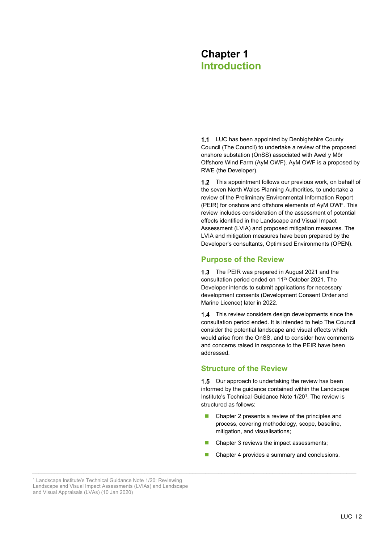## **Chapter 1 Introduction**

1.1 LUC has been appointed by Denbighshire County Council (The Council) to undertake a review of the proposed onshore substation (OnSS) associated with Awel y Môr Offshore Wind Farm (AyM OWF). AyM OWF is a proposed by RWE (the Developer).

1.2 This appointment follows our previous work, on behalf of the seven North Wales Planning Authorities, to undertake a review of the Preliminary Environmental Information Report (PEIR) for onshore and offshore elements of AyM OWF. This review includes consideration of the assessment of potential effects identified in the Landscape and Visual Impact Assessment (LVIA) and proposed mitigation measures. The LVIA and mitigation measures have been prepared by the Developer's consultants, Optimised Environments (OPEN).

#### **Purpose of the Review**

1.3 The PEIR was prepared in August 2021 and the consultation period ended on 11<sup>th</sup> October 2021. The Developer intends to submit applications for necessary development consents (Development Consent Order and Marine Licence) later in 2022.

1.4 This review considers design developments since the consultation period ended. It is intended to help The Council consider the potential landscape and visual effects which would arise from the OnSS, and to consider how comments and concerns raised in response to the PEIR have been addressed.

#### **Structure of the Review**

1.5 Our approach to undertaking the review has been informed by the guidance contained within the Landscape Institute's Technical Guidance Note 1/201. The review is structured as follows:

- Chapter 2 presents a review of the principles and process, covering methodology, scope, baseline, mitigation, and visualisations;
- Chapter 3 reviews the impact assessments;
- Chapter 4 provides a summary and conclusions.

<sup>&</sup>lt;sup>1</sup> Landscape Institute's Technical Guidance Note 1/20: Reviewing Landscape and Visual Impact Assessments (LVIAs) and Landscape and Visual Appraisals (LVAs) (10 Jan 2020)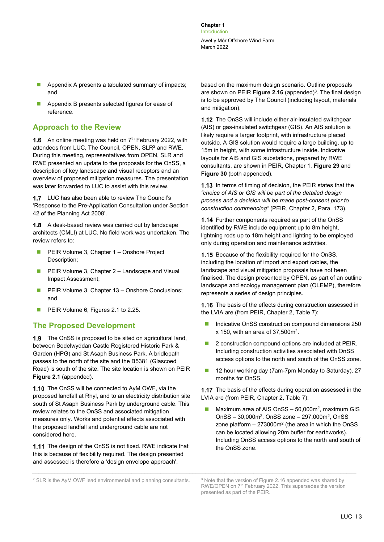**Chapter** 1 Introduction Awel y Môr Offshore Wind Farm March 2022

- Appendix A presents a tabulated summary of impacts; and
- **Appendix B presents selected figures for ease of** reference.

#### **Approach to the Review**

**1.6** An online meeting was held on  $7<sup>th</sup>$  February 2022, with attendees from LUC, The Council, OPEN, SLR2 and RWE. During this meeting, representatives from OPEN, SLR and RWE presented an update to the proposals for the OnSS, a description of key landscape and visual receptors and an overview of proposed mitigation measures. The presentation was later forwarded to LUC to assist with this review.

1.7 LUC has also been able to review The Council's 'Response to the Pre-Application Consultation under Section 42 of the Planning Act 2008'.

1.8 A desk-based review was carried out by landscape architects (CMLI) at LUC. No field work was undertaken. The review refers to:

- **PEIR Volume 3, Chapter 1 Onshore Project** Description;
- **PEIR Volume 3, Chapter 2 Landscape and Visual** Impact Assessment;
- **PEIR Volume 3, Chapter 13 Onshore Conclusions;** and
- **PEIR Volume 6, Figures 2.1 to 2.25.**

#### **The Proposed Development**

1.9 The OnSS is proposed to be sited on agricultural land, between Bodelwyddan Castle Registered Historic Park & Garden (HPG) and St Asaph Business Park. A bridlepath passes to the north of the site and the B5381 (Glascoed Road) is south of the site. The site location is shown on PEIR **Figure 2.1** (appended).

1.10 The OnSS will be connected to AyM OWF, via the proposed landfall at Rhyl, and to an electricity distribution site south of St Asaph Business Park by underground cable. This review relates to the OnSS and associated mitigation measures only. Works and potential effects associated with the proposed landfall and underground cable are not considered here.

1.11 The design of the OnSS is not fixed. RWE indicate that this is because of flexibility required. The design presented and assessed is therefore a 'design envelope approach',

based on the maximum design scenario. Outline proposals are shown on PEIR Figure 2.16 (appended)<sup>3</sup>. The final design is to be approved by The Council (including layout, materials and mitigation).

1.12 The OnSS will include either air-insulated switchgear (AIS) or gas-insulated switchgear (GIS). An AIS solution is likely require a larger footprint, with infrastructure placed outside. A GIS solution would require a large building, up to 15m in height, with some infrastructure inside. Indicative layouts for AIS and GIS substations, prepared by RWE consultants, are shown in PEIR, Chapter 1, **Figure 29** and **Figure 30** (both appended).

1.13 In terms of timing of decision, the PEIR states that the *"choice of AIS or GIS will be part of the detailed design process and a decision will be made post-consent prior to construction commencing"* (PEIR, Chapter 2, Para. 173).

1.14 Further components required as part of the OnSS identified by RWE include equipment up to 8m height, lightning rods up to 18m height and lighting to be employed only during operation and maintenance activities.

1.15 Because of the flexibility required for the OnSS, including the location of import and export cables, the landscape and visual mitigation proposals have not been finalised. The design presented by OPEN, as part of an outline landscape and ecology management plan (OLEMP), therefore represents a series of design principles.

**1.16** The basis of the effects during construction assessed in the LVIA are (from PEIR, Chapter 2, Table 7):

- Indicative OnSS construction compound dimensions 250  $x$  150, with an area of 37,500 $m<sup>2</sup>$ .
- 2 construction compound options are included at PEIR. Including construction activities associated with OnSS access options to the north and south of the OnSS zone.
- 12 hour working day (7am-7pm Monday to Saturday), 27 months for OnSS.

1.17 The basis of the effects during operation assessed in the LVIA are (from PEIR, Chapter 2, Table 7):

**Maximum area of AIS OnSS - 50,000m<sup>2</sup>, maximum GIS** OnSS – 30,000m2. OnSS zone – 297,000m2, OnSS zone platform  $-273000m^2$  (the area in which the OnSS can be located allowing 20m buffer for earthworks). Including OnSS access options to the north and south of the OnSS zone.

<sup>&</sup>lt;sup>2</sup> SLR is the AyM OWF lead environmental and planning consultants.

<sup>&</sup>lt;sup>3</sup> Note that the version of Figure 2.16 appended was shared by RWE/OPEN on 7<sup>th</sup> February 2022. This supersedes the version presented as part of the PEIR.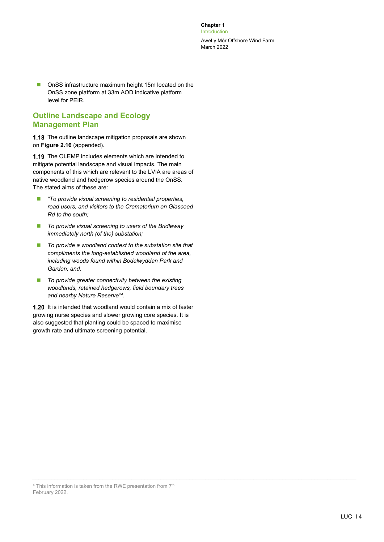**Chapter** 1 Introduction

Awel y Môr Offshore Wind Farm March 2022

■ OnSS infrastructure maximum height 15m located on the OnSS zone platform at 33m AOD indicative platform level for PEIR.

#### **Outline Landscape and Ecology Management Plan**

1.18 The outline landscape mitigation proposals are shown on **Figure 2.16** (appended).

1.19 The OLEMP includes elements which are intended to mitigate potential landscape and visual impacts. The main components of this which are relevant to the LVIA are areas of native woodland and hedgerow species around the OnSS. The stated aims of these are:

- *"To provide visual screening to residential properties, road users, and visitors to the Crematorium on Glascoed Rd to the south;*
- *To provide visual screening to users of the Bridleway immediately north (of the) substation;*
- To provide a woodland context to the substation site that *compliments the long-established woodland of the area, including woods found within Bodelwyddan Park and Garden; and,*
- *To provide greater connectivity between the existing woodlands, retained hedgerows, field boundary trees and nearby Nature Reserve"4*.

1.20 It is intended that woodland would contain a mix of faster growing nurse species and slower growing core species. It is also suggested that planting could be spaced to maximise growth rate and ultimate screening potential.

<sup>&</sup>lt;sup>4</sup> This information is taken from the RWE presentation from 7<sup>th</sup> February 2022.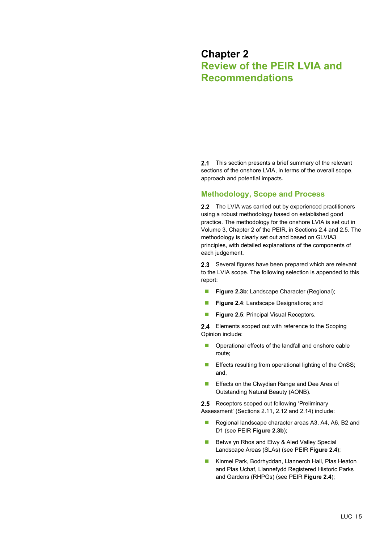### **Chapter 2 Review of the PEIR LVIA and Recommendations**

2.1 This section presents a brief summary of the relevant sections of the onshore LVIA, in terms of the overall scope, approach and potential impacts.

#### **Methodology, Scope and Process**

2.2 The LVIA was carried out by experienced practitioners using a robust methodology based on established good practice. The methodology for the onshore LVIA is set out in Volume 3, Chapter 2 of the PEIR, in Sections 2.4 and 2.5. The methodology is clearly set out and based on GLVIA3 principles, with detailed explanations of the components of each judgement.

2.3 Several figures have been prepared which are relevant to the LVIA scope. The following selection is appended to this report:

- **Figure 2.3b:** Landscape Character (Regional);
- **Figure 2.4:** Landscape Designations; and
- **Figure 2.5: Principal Visual Receptors.**

2.4 Elements scoped out with reference to the Scoping Opinion include:

- **Deparational effects of the landfall and onshore cable** route;
- **Effects resulting from operational lighting of the OnSS:** and,
- **Effects on the Clwydian Range and Dee Area of** Outstanding Natural Beauty (AONB).

2.5 Receptors scoped out following 'Preliminary Assessment' (Sections 2.11, 2.12 and 2.14) include:

- Regional landscape character areas A3, A4, A6, B2 and D1 (see PEIR **Figure 2.3b**);
- Betws yn Rhos and Elwy & Aled Valley Special Landscape Areas (SLAs) (see PEIR **Figure 2.4**);
- Kinmel Park, Bodrhyddan, Llannerch Hall, Plas Heaton and Plas Uchaf, Llannefydd Registered Historic Parks and Gardens (RHPGs) (see PEIR **Figure 2.4**);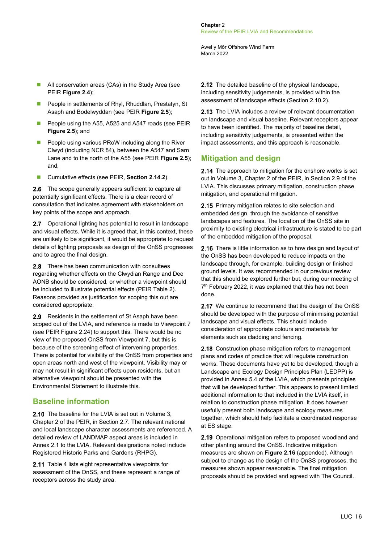Awel y Môr Offshore Wind Farm March 2022

- All conservation areas (CAs) in the Study Area (see PEIR **Figure 2.4**);
- **People in settlements of Rhyl, Rhuddlan, Prestatyn, St** Asaph and Bodelwyddan (see PEIR **Figure 2.5**);
- People using the A55, A525 and A547 roads (see PEIR **Figure 2.5**); and
- People using various PRoW including along the River Clwyd (including NCR 84), between the A547 and Sarn Lane and to the north of the A55 (see PEIR **Figure 2.5**); and,
- Cumulative effects (see PEIR, Section 2.14.2).

**2.6** The scope generally appears sufficient to capture all potentially significant effects. There is a clear record of consultation that indicates agreement with stakeholders on key points of the scope and approach.

2.7 Operational lighting has potential to result in landscape and visual effects. While it is agreed that, in this context, these are unlikely to be significant, it would be appropriate to request details of lighting proposals as design of the OnSS progresses and to agree the final design.

2.8 There has been communication with consultees regarding whether effects on the Clwydian Range and Dee AONB should be considered, or whether a viewpoint should be included to illustrate potential effects (PEIR Table 2). Reasons provided as justification for scoping this out are considered appropriate.

2.9 Residents in the settlement of St Asaph have been scoped out of the LVIA, and reference is made to Viewpoint 7 (see PEIR Figure 2.24) to support this. There would be no view of the proposed OnSS from Viewpoint 7, but this is because of the screening effect of intervening properties. There is potential for visibility of the OnSS from properties and open areas north and west of the viewpoint. Visibility may or may not result in significant effects upon residents, but an alternative viewpoint should be presented with the Environmental Statement to illustrate this.

#### **Baseline information**

2.10 The baseline for the LVIA is set out in Volume 3. Chapter 2 of the PEIR, in Section 2.7. The relevant national and local landscape character assessments are referenced. A detailed review of LANDMAP aspect areas is included in Annex 2.1 to the LVIA. Relevant designations noted include Registered Historic Parks and Gardens (RHPG).

2.11 Table 4 lists eight representative viewpoints for assessment of the OnSS, and these represent a range of receptors across the study area.

2.12 The detailed baseline of the physical landscape, including sensitivity judgements, is provided within the assessment of landscape effects (Section 2.10.2).

2.13 The LVIA includes a review of relevant documentation on landscape and visual baseline. Relevant receptors appear to have been identified. The majority of baseline detail, including sensitivity judgements, is presented within the impact assessments, and this approach is reasonable.

### **Mitigation and design**

2.14 The approach to mitigation for the onshore works is set out in Volume 3, Chapter 2 of the PEIR, in Section 2.9 of the LVIA. This discusses primary mitigation, construction phase mitigation, and operational mitigation.

2.15 Primary mitigation relates to site selection and embedded design, through the avoidance of sensitive landscapes and features. The location of the OnSS site in proximity to existing electrical infrastructure is stated to be part of the embedded mitigation of the proposal.

2.16 There is little information as to how design and layout of the OnSS has been developed to reduce impacts on the landscape through, for example, building design or finished ground levels. It was recommended in our previous review that this should be explored further but, during our meeting of 7<sup>th</sup> February 2022, it was explained that this has not been done.

2.17 We continue to recommend that the design of the OnSS should be developed with the purpose of minimising potential landscape and visual effects. This should include consideration of appropriate colours and materials for elements such as cladding and fencing.

2.18 Construction phase mitigation refers to management plans and codes of practice that will regulate construction works. These documents have yet to be developed, though a Landscape and Ecology Design Principles Plan (LEDPP) is provided in Annex 5.4 of the LVIA, which presents principles that will be developed further. This appears to present limited additional information to that included in the LVIA itself, in relation to construction phase mitigation. It does however usefully present both landscape and ecology measures together, which should help facilitate a coordinated response at ES stage.

2.19 Operational mitigation refers to proposed woodland and other planting around the OnSS. Indicative mitigation measures are shown on **Figure 2.16** (appended). Although subject to change as the design of the OnSS progresses, the measures shown appear reasonable. The final mitigation proposals should be provided and agreed with The Council.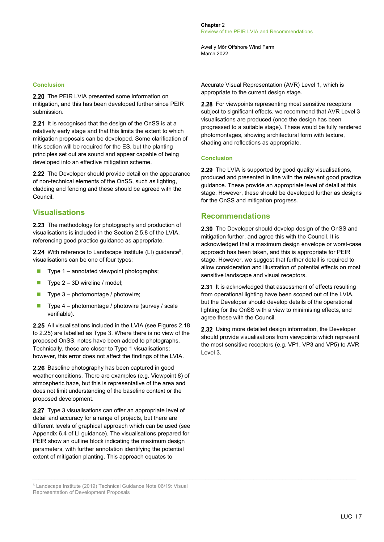Awel y Môr Offshore Wind Farm March 2022

#### **Conclusion**

2.20 The PEIR LVIA presented some information on mitigation, and this has been developed further since PEIR submission.

2.21 It is recognised that the design of the OnSS is at a relatively early stage and that this limits the extent to which mitigation proposals can be developed. Some clarification of this section will be required for the ES, but the planting principles set out are sound and appear capable of being developed into an effective mitigation scheme.

2.22 The Developer should provide detail on the appearance of non-technical elements of the OnSS, such as lighting, cladding and fencing and these should be agreed with the Council.

#### **Visualisations**

2.23 The methodology for photography and production of visualisations is included in the Section 2.5.8 of the LVIA, referencing good practice guidance as appropriate.

2.24 With reference to Landscape Institute (LI) guidance<sup>5</sup>, visualisations can be one of four types:

- $\blacksquare$  Type 1 annotated viewpoint photographs;
- $\blacksquare$  Type 2 3D wireline / model;
- $\blacksquare$  Type 3 photomontage / photowire:
- $\blacksquare$  Type 4 photomontage / photowire (survey / scale verifiable).

2.25 All visualisations included in the LVIA (see Figures 2.18 to 2.25) are labelled as Type 3. Where there is no view of the proposed OnSS, notes have been added to photographs. Technically, these are closer to Type 1 visualisations; however, this error does not affect the findings of the LVIA.

2.26 Baseline photography has been captured in good weather conditions. There are examples (e.g. Viewpoint 8) of atmospheric haze, but this is representative of the area and does not limit understanding of the baseline context or the proposed development.

2.27 Type 3 visualisations can offer an appropriate level of detail and accuracy for a range of projects, but there are different levels of graphical approach which can be used (see Appendix 6.4 of LI guidance). The visualisations prepared for PEIR show an outline block indicating the maximum design parameters, with further annotation identifying the potential extent of mitigation planting. This approach equates to

5 Landscape Institute (2019) Technical Guidance Note 06/19: Visual Representation of Development Proposals

Accurate Visual Representation (AVR) Level 1, which is appropriate to the current design stage.

2.28 For viewpoints representing most sensitive receptors subject to significant effects, we recommend that AVR Level 3 visualisations are produced (once the design has been progressed to a suitable stage). These would be fully rendered photomontages, showing architectural form with texture, shading and reflections as appropriate.

#### **Conclusion**

2.29 The LVIA is supported by good quality visualisations, produced and presented in line with the relevant good practice guidance. These provide an appropriate level of detail at this stage. However, these should be developed further as designs for the OnSS and mitigation progress.

#### **Recommendations**

2.30 The Developer should develop design of the OnSS and mitigation further, and agree this with the Council. It is acknowledged that a maximum design envelope or worst-case approach has been taken, and this is appropriate for PEIR stage. However, we suggest that further detail is required to allow consideration and illustration of potential effects on most sensitive landscape and visual receptors.

2.31 It is acknowledged that assessment of effects resulting from operational lighting have been scoped out of the LVIA, but the Developer should develop details of the operational lighting for the OnSS with a view to minimising effects, and agree these with the Council.

2.32 Using more detailed design information, the Developer should provide visualisations from viewpoints which represent the most sensitive receptors (e.g. VP1, VP3 and VP5) to AVR Level 3.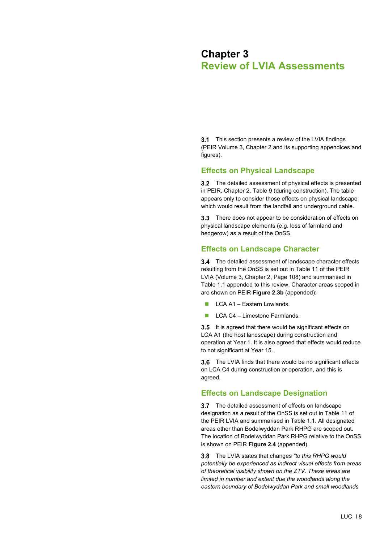## **Chapter 3 Review of LVIA Assessments**

**3.1** This section presents a review of the LVIA findings (PEIR Volume 3, Chapter 2 and its supporting appendices and figures).

#### **Effects on Physical Landscape**

3.2 The detailed assessment of physical effects is presented in PEIR, Chapter 2, Table 9 (during construction). The table appears only to consider those effects on physical landscape which would result from the landfall and underground cable.

3.3 There does not appear to be consideration of effects on physical landscape elements (e.g. loss of farmland and hedgerow) as a result of the OnSS.

### **Effects on Landscape Character**

3.4 The detailed assessment of landscape character effects resulting from the OnSS is set out in Table 11 of the PEIR LVIA (Volume 3, Chapter 2, Page 108) and summarised in Table 1.1 appended to this review. Character areas scoped in are shown on PEIR **Figure 2.3b** (appended):

- LCA A1 Eastern Lowlands.
- $\Box$  LCA C4 Limestone Farmlands.

3.5 It is agreed that there would be significant effects on LCA A1 (the host landscape) during construction and operation at Year 1. It is also agreed that effects would reduce to not significant at Year 15.

3.6 The LVIA finds that there would be no significant effects on LCA C4 during construction or operation, and this is agreed.

#### **Effects on Landscape Designation**

3.7 The detailed assessment of effects on landscape designation as a result of the OnSS is set out in Table 11 of the PEIR LVIA and summarised in Table 1.1. All designated areas other than Bodelwyddan Park RHPG are scoped out. The location of Bodelwyddan Park RHPG relative to the OnSS is shown on PEIR **Figure 2.4** (appended).

The LVIA states that changes *"to this RHPG would potentially be experienced as indirect visual effects from areas of theoretical visibility shown on the ZTV. These areas are limited in number and extent due the woodlands along the eastern boundary of Bodelwyddan Park and small woodlands*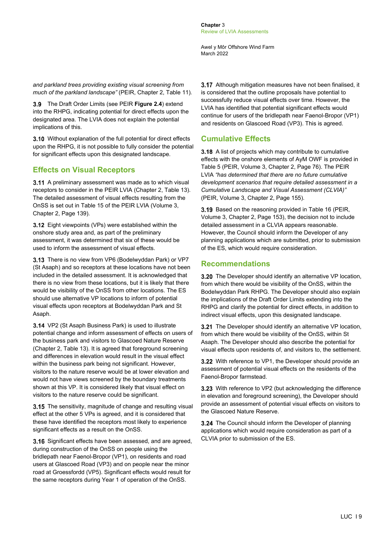**Chapter** 3 Review of LVIA Assessments

Awel y Môr Offshore Wind Farm March 2022

*and parkland trees providing existing visual screening from much of the parkland landscape"* (PEIR, Chapter 2, Table 11)*.*

The Draft Order Limits (see PEIR **Figure 2.4**) extend into the RHPG, indicating potential for direct effects upon the designated area. The LVIA does not explain the potential implications of this.

3.10 Without explanation of the full potential for direct effects upon the RHPG, it is not possible to fully consider the potential for significant effects upon this designated landscape.

#### **Effects on Visual Receptors**

**3.11** A preliminary assessment was made as to which visual receptors to consider in the PEIR LVIA (Chapter 2, Table 13). The detailed assessment of visual effects resulting from the OnSS is set out in Table 15 of the PEIR LVIA (Volume 3, Chapter 2, Page 139).

3.12 Eight viewpoints (VPs) were established within the onshore study area and, as part of the preliminary assessment, it was determined that six of these would be used to inform the assessment of visual effects.

3.13 There is no view from VP6 (Bodelwyddan Park) or VP7 (St Asaph) and so receptors at these locations have not been included in the detailed assessment. It is acknowledged that there is no view from these locations, but it is likely that there would be visibility of the OnSS from other locations. The ES should use alternative VP locations to inform of potential visual effects upon receptors at Bodelwyddan Park and St Asaph.

3.14 VP2 (St Asaph Business Park) is used to illustrate potential change and inform assessment of effects on users of the business park and visitors to Glascoed Nature Reserve (Chapter 2, Table 13). It is agreed that foreground screening and differences in elevation would result in the visual effect within the business park being not significant. However, visitors to the nature reserve would be at lower elevation and would not have views screened by the boundary treatments shown at this VP. It is considered likely that visual effect on visitors to the nature reserve could be significant.

3.15 The sensitivity, magnitude of change and resulting visual effect at the other 5 VPs is agreed, and it is considered that these have identified the receptors most likely to experience significant effects as a result on the OnSS.

3.16 Significant effects have been assessed, and are agreed. during construction of the OnSS on people using the bridlepath near Faenol-Bropor (VP1), on residents and road users at Glascoed Road (VP3) and on people near the minor road at Groessfordd (VP5). Significant effects would result for the same receptors during Year 1 of operation of the OnSS.

3.17 Although mitigation measures have not been finalised, it is considered that the outline proposals have potential to successfully reduce visual effects over time. However, the LVIA has identified that potential significant effects would continue for users of the bridlepath near Faenol-Bropor (VP1) and residents on Glascoed Road (VP3). This is agreed.

#### **Cumulative Effects**

3.18 A list of projects which may contribute to cumulative effects with the onshore elements of AyM OWF is provided in Table 5 (PEIR, Volume 3, Chapter 2, Page 76). The PEIR LVIA *"has determined that there are no future cumulative development scenarios that require detailed assessment in a Cumulative Landscape and Visual Assessment (CLVIA)"* (PEIR, Volume 3, Chapter 2, Page 155).

3.19 Based on the reasoning provided in Table 16 (PEIR, Volume 3, Chapter 2, Page 153), the decision not to include detailed assessment in a CLVIA appears reasonable. However, the Council should inform the Developer of any planning applications which are submitted, prior to submission of the ES, which would require consideration.

#### **Recommendations**

3.20 The Developer should identify an alternative VP location, from which there would be visibility of the OnSS, within the Bodelwyddan Park RHPG. The Developer should also explain the implications of the Draft Order Limits extending into the RHPG and clarify the potential for direct effects, in addition to indirect visual effects, upon this designated landscape.

3.21 The Developer should identify an alternative VP location, from which there would be visibility of the OnSS, within St Asaph. The Developer should also describe the potential for visual effects upon residents of, and visitors to, the settlement.

3.22 With reference to VP1, the Developer should provide an assessment of potential visual effects on the residents of the Faenol-Bropor farmstead.

3.23 With reference to VP2 (but acknowledging the difference in elevation and foreground screening), the Developer should provide an assessment of potential visual effects on visitors to the Glascoed Nature Reserve.

3.24 The Council should inform the Developer of planning applications which would require consideration as part of a CLVIA prior to submission of the ES.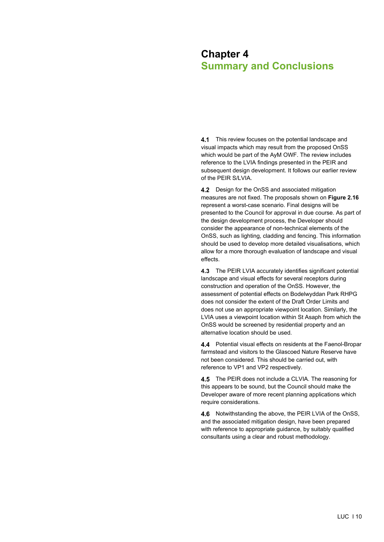## **Chapter 4 Summary and Conclusions**

4.1 This review focuses on the potential landscape and visual impacts which may result from the proposed OnSS which would be part of the AyM OWF. The review includes reference to the LVIA findings presented in the PEIR and subsequent design development. It follows our earlier review of the PEIR S/LVIA.

4.2 Design for the OnSS and associated mitigation measures are not fixed. The proposals shown on **Figure 2.16** represent a worst-case scenario. Final designs will be presented to the Council for approval in due course. As part of the design development process, the Developer should consider the appearance of non-technical elements of the OnSS, such as lighting, cladding and fencing. This information should be used to develop more detailed visualisations, which allow for a more thorough evaluation of landscape and visual effects.

4.3 The PEIR LVIA accurately identifies significant potential landscape and visual effects for several receptors during construction and operation of the OnSS. However, the assessment of potential effects on Bodelwyddan Park RHPG does not consider the extent of the Draft Order Limits and does not use an appropriate viewpoint location. Similarly, the LVIA uses a viewpoint location within St Asaph from which the OnSS would be screened by residential property and an alternative location should be used.

4.4 Potential visual effects on residents at the Faenol-Bropar farmstead and visitors to the Glascoed Nature Reserve have not been considered. This should be carried out, with reference to VP1 and VP2 respectively.

4.5 The PEIR does not include a CLVIA. The reasoning for this appears to be sound, but the Council should make the Developer aware of more recent planning applications which require considerations.

4.6 Notwithstanding the above, the PEIR LVIA of the OnSS. and the associated mitigation design, have been prepared with reference to appropriate guidance, by suitably qualified consultants using a clear and robust methodology.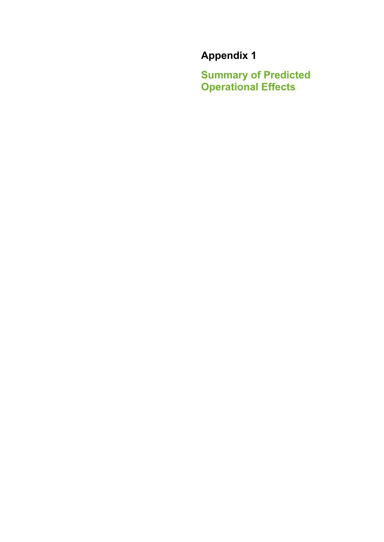# **Appendix 1**

**Summary of Predicted Operational Effects**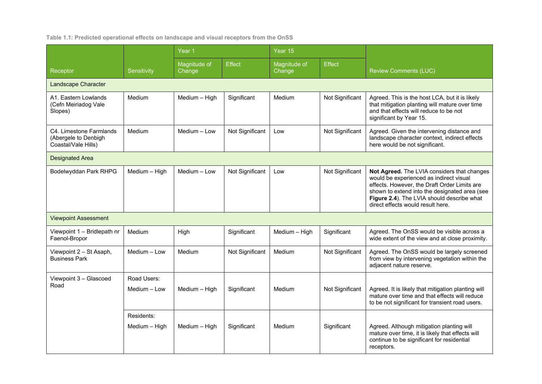#### **Table 1.1: Predicted operational effects on landscape and visual receptors from the OnSS**

|                                                                        | Sensitivity   | Year <sub>1</sub>      |                 | Year 15                |                 |                                                                                                                                                                                                                                                                            |  |
|------------------------------------------------------------------------|---------------|------------------------|-----------------|------------------------|-----------------|----------------------------------------------------------------------------------------------------------------------------------------------------------------------------------------------------------------------------------------------------------------------------|--|
| Receptor                                                               |               | Magnitude of<br>Change | <b>Effect</b>   | Magnitude of<br>Change | <b>Effect</b>   | <b>Review Comments (LUC)</b>                                                                                                                                                                                                                                               |  |
| <b>Landscape Character</b>                                             |               |                        |                 |                        |                 |                                                                                                                                                                                                                                                                            |  |
| A1. Eastern Lowlands<br>(Cefn Meiriadog Vale<br>Slopes)                | Medium        | Medium - High          | Significant     | Medium                 | Not Significant | Agreed. This is the host LCA, but it is likely<br>that mitigation planting will mature over time<br>and that effects will reduce to be not<br>significant by Year 15.                                                                                                      |  |
| C4. Limestone Farmlands<br>(Abergele to Denbigh<br>Coastal/Vale Hills) | Medium        | Medium - Low           | Not Significant | Low                    | Not Significant | Agreed. Given the intervening distance and<br>landscape character context, indirect effects<br>here would be not significant.                                                                                                                                              |  |
| <b>Designated Area</b>                                                 |               |                        |                 |                        |                 |                                                                                                                                                                                                                                                                            |  |
| Bodelwyddan Park RHPG                                                  | Medium - High | Medium - Low           | Not Significant | Low                    | Not Significant | Not Agreed. The LVIA considers that changes<br>would be experienced as indirect visual<br>effects. However, the Draft Order Limits are<br>shown to extend into the designated area (see<br>Figure 2.4). The LVIA should describe what<br>direct effects would result here. |  |
| <b>Viewpoint Assessment</b>                                            |               |                        |                 |                        |                 |                                                                                                                                                                                                                                                                            |  |
| Viewpoint 1 - Bridlepath nr<br>Faenol-Bropor                           | Medium        | High                   | Significant     | Medium - High          | Significant     | Agreed. The OnSS would be visible across a<br>wide extent of the view and at close proximity.                                                                                                                                                                              |  |
| Viewpoint 2 - St Asaph,<br><b>Business Park</b>                        | Medium - Low  | Medium                 | Not Significant | Medium                 | Not Significant | Agreed. The OnSS would be largely screened<br>from view by intervening vegetation within the<br>adjacent nature reserve.                                                                                                                                                   |  |
| Viewpoint 3 - Glascoed                                                 | Road Users:   |                        |                 |                        |                 |                                                                                                                                                                                                                                                                            |  |
| Road                                                                   | Medium - Low  | Medium - High          | Significant     | Medium                 | Not Significant | Agreed. It is likely that mitigation planting will<br>mature over time and that effects will reduce<br>to be not significant for transient road users.                                                                                                                     |  |
|                                                                        | Residents:    |                        |                 |                        |                 |                                                                                                                                                                                                                                                                            |  |
|                                                                        | Medium - High | Medium - High          | Significant     | Medium                 | Significant     | Agreed. Although mitigation planting will<br>mature over time, it is likely that effects will<br>continue to be significant for residential<br>receptors.                                                                                                                  |  |